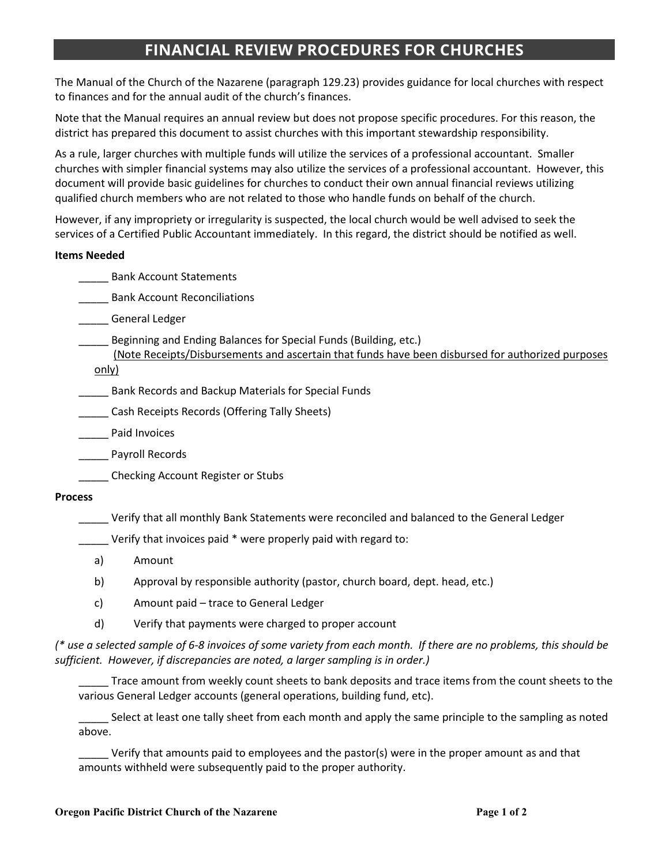# **FINANCIAL REVIEW PROCEDURES FOR CHURCHES**

The Manual of the Church of the Nazarene (paragraph 129.23) provides guidance for local churches with respect to finances and for the annual audit of the church's finances.

Note that the Manual requires an annual review but does not propose specific procedures. For this reason, the district has prepared this document to assist churches with this important stewardship responsibility.

As a rule, larger churches with multiple funds will utilize the services of a professional accountant. Smaller churches with simpler financial systems may also utilize the services of a professional accountant. However, this document will provide basic guidelines for churches to conduct their own annual financial reviews utilizing qualified church members who are not related to those who handle funds on behalf of the church.

However, if any impropriety or irregularity is suspected, the local church would be well advised to seek the services of a Certified Public Accountant immediately. In this regard, the district should be notified as well.

#### **Items Needed**

\_\_\_\_\_ Bank Account Statements

**Example 21 Bank Account Reconciliations** 

\_\_\_\_\_ General Ledger

\_\_\_\_\_ Beginning and Ending Balances for Special Funds (Building, etc.)

 (Note Receipts/Disbursements and ascertain that funds have been disbursed for authorized purposes only)

\_\_\_\_\_ Bank Records and Backup Materials for Special Funds

\_\_\_\_\_ Cash Receipts Records (Offering Tally Sheets)

Paid Invoices

\_\_\_\_\_ Payroll Records

\_\_\_\_\_ Checking Account Register or Stubs

# **Process**

\_\_\_\_\_ Verify that all monthly Bank Statements were reconciled and balanced to the General Ledger

\_\_\_\_\_ Verify that invoices paid \* were properly paid with regard to:

- a) Amount
- b) Approval by responsible authority (pastor, church board, dept. head, etc.)
- c) Amount paid trace to General Ledger
- d) Verify that payments were charged to proper account

*(\* use a selected sample of 6-8 invoices of some variety from each month. If there are no problems, this should be sufficient. However, if discrepancies are noted, a larger sampling is in order.)*

Trace amount from weekly count sheets to bank deposits and trace items from the count sheets to the various General Ledger accounts (general operations, building fund, etc).

\_\_\_\_\_ Select at least one tally sheet from each month and apply the same principle to the sampling as noted above.

\_\_\_\_\_ Verify that amounts paid to employees and the pastor(s) were in the proper amount as and that amounts withheld were subsequently paid to the proper authority.